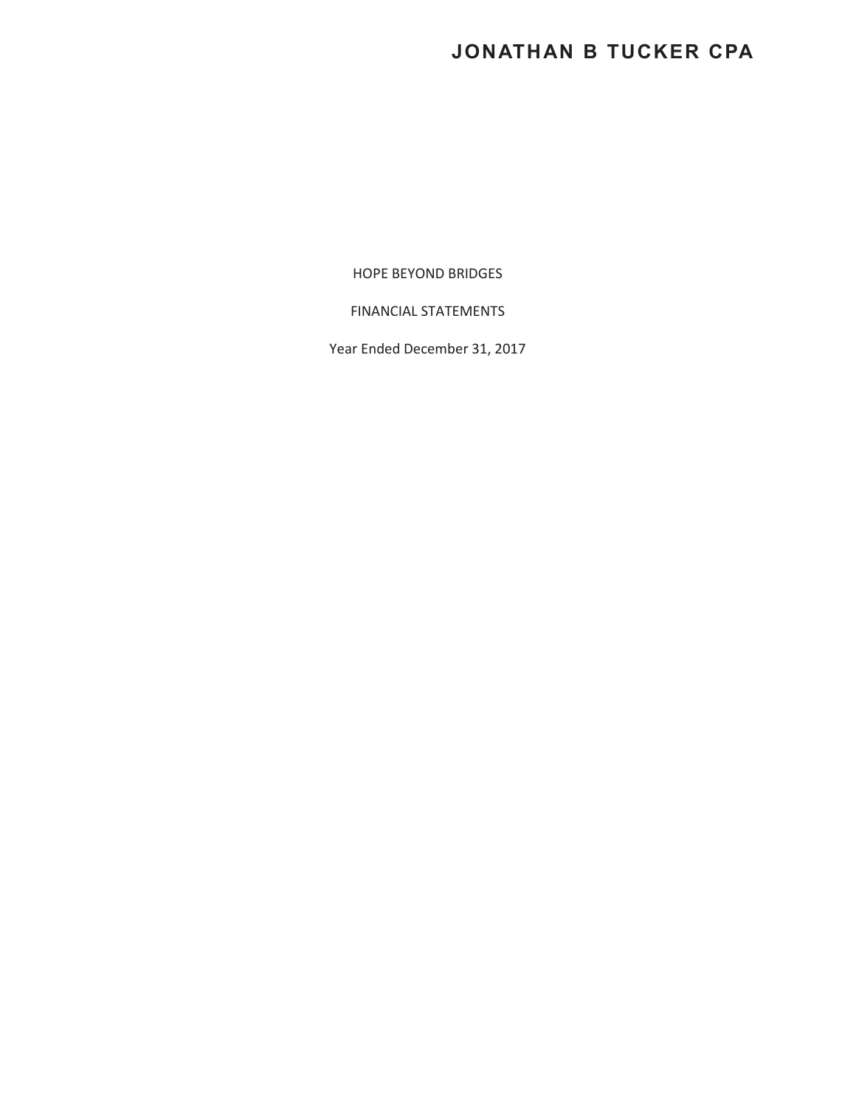# **JONATHAN B TUCKER CPA**

HOPE BEYOND BRIDGES

FINANCIAL STATEMENTS

Year Ended December 31, 2017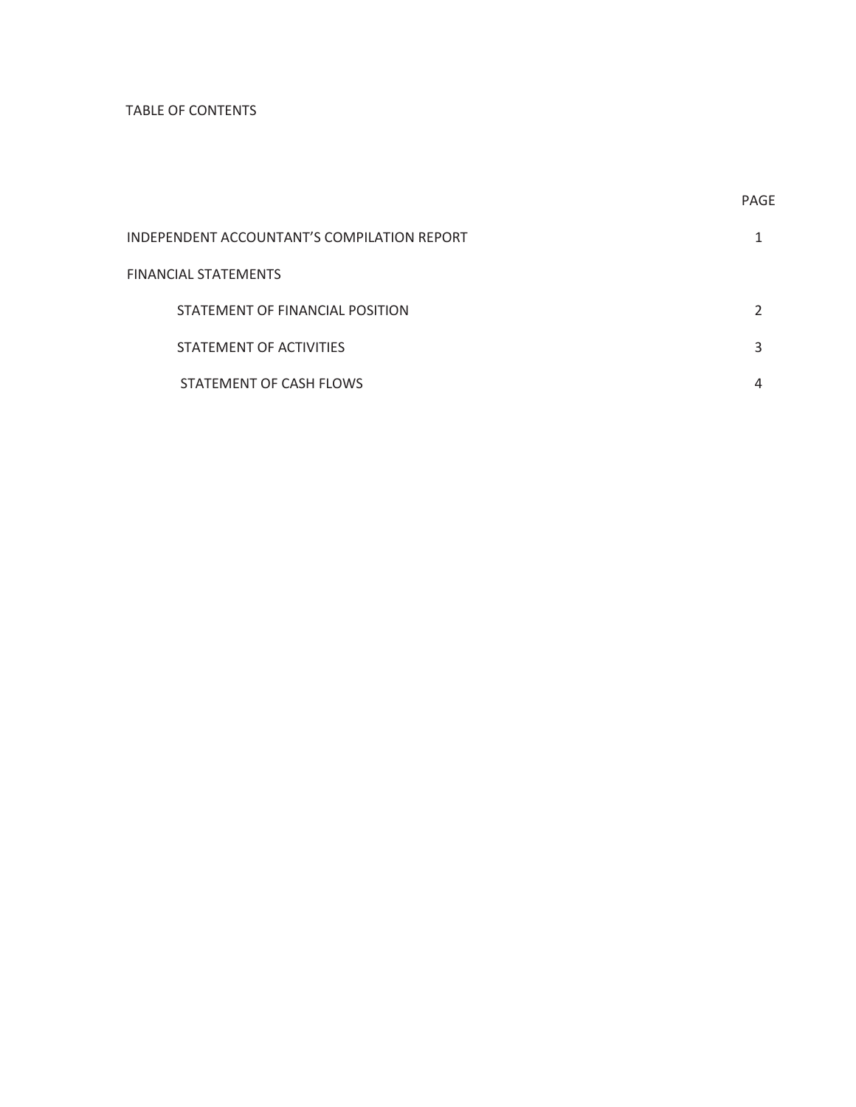## TABLE OF CONTENTS

| INDEPENDENT ACCOUNTANT'S COMPILATION REPORT |  |
|---------------------------------------------|--|
| FINANCIAL STATEMENTS                        |  |
| STATEMENT OF FINANCIAL POSITION             |  |
| STATEMENT OF ACTIVITIES                     |  |
| STATEMENT OF CASH FLOWS                     |  |

**PAGE**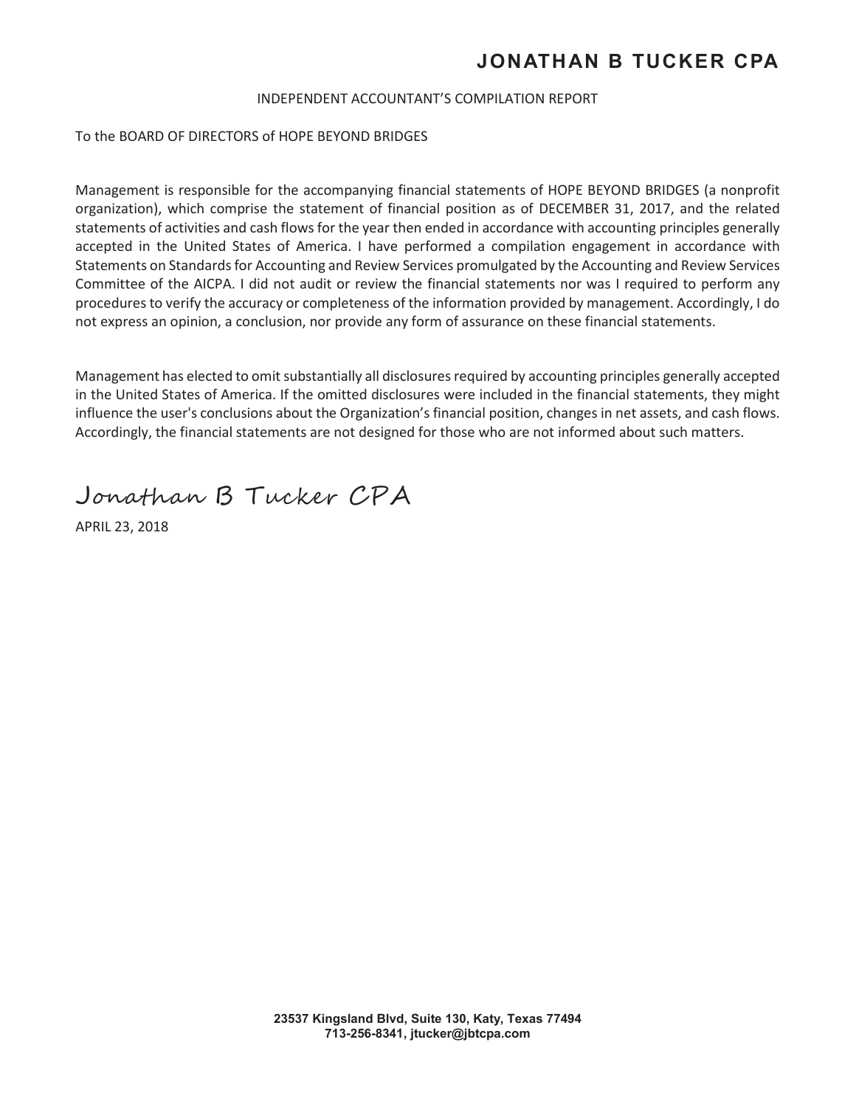## **JONATHAN B TUCKER CPA**

#### INDEPENDENT ACCOUNTANT'S COMPILATION REPORT

To the BOARD OF DIRECTORS of HOPE BEYOND BRIDGES

Management is responsible for the accompanying financial statements of HOPE BEYOND BRIDGES (a nonprofit organization), which comprise the statement of financial position as of DECEMBER 31, 2017, and the related statements of activities and cash flows for the year then ended in accordance with accounting principles generally accepted in the United States of America. I have performed a compilation engagement in accordance with Statements on Standards for Accounting and Review Services promulgated by the Accounting and Review Services Committee of the AICPA. I did not audit or review the financial statements nor was I required to perform any procedures to verify the accuracy or completeness of the information provided by management. Accordingly, I do not express an opinion, a conclusion, nor provide any form of assurance on these financial statements.

Management has elected to omit substantially all disclosures required by accounting principles generally accepted in the United States of America. If the omitted disclosures were included in the financial statements, they might influence the user's conclusions about the Organization's financial position, changes in net assets, and cash flows. Accordingly, the financial statements are not designed for those who are not informed about such matters.

Jonathan B Tucker CPA

APRIL 23, 2018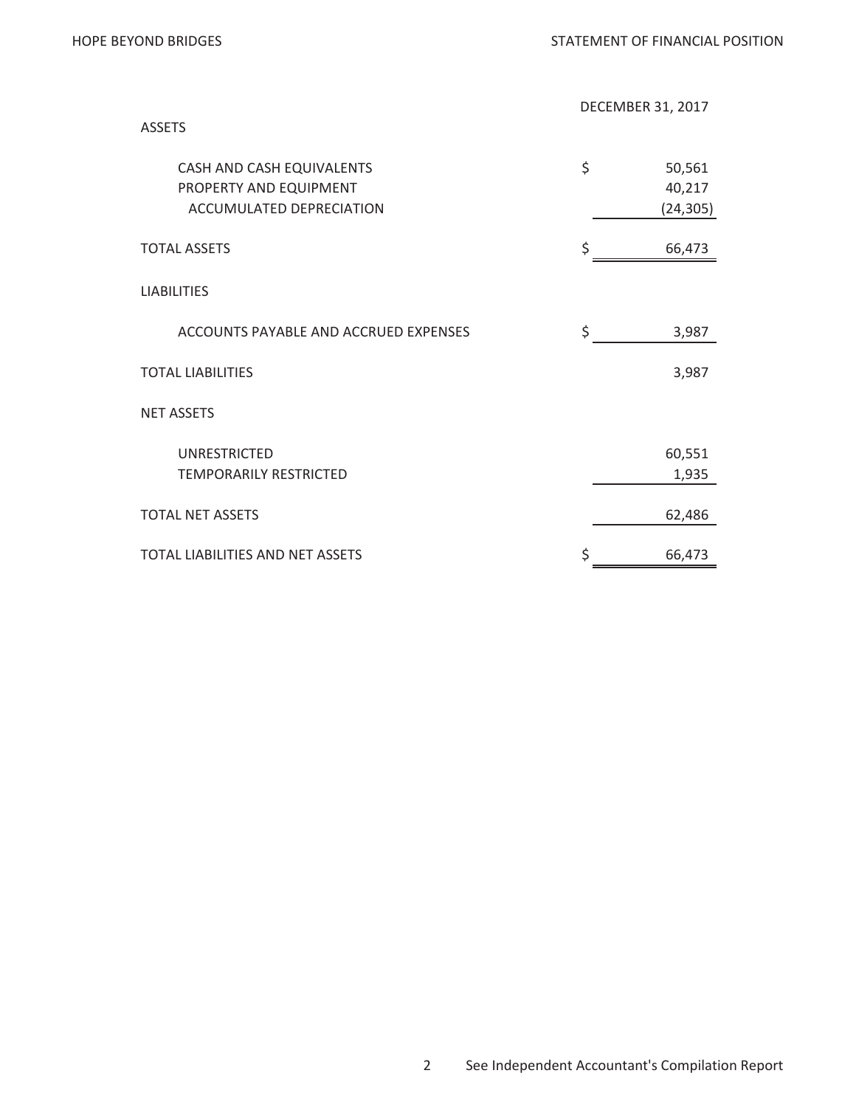| <b>ASSETS</b>                                                                   | <b>DECEMBER 31, 2017</b> |                               |  |
|---------------------------------------------------------------------------------|--------------------------|-------------------------------|--|
| CASH AND CASH EQUIVALENTS<br>PROPERTY AND EQUIPMENT<br>ACCUMULATED DEPRECIATION | \$                       | 50,561<br>40,217<br>(24, 305) |  |
| <b>TOTAL ASSETS</b>                                                             | \$                       | 66,473                        |  |
| <b>LIABILITIES</b>                                                              |                          |                               |  |
| ACCOUNTS PAYABLE AND ACCRUED EXPENSES                                           | \$                       | 3,987                         |  |
| <b>TOTAL LIABILITIES</b>                                                        |                          | 3,987                         |  |
| <b>NET ASSETS</b>                                                               |                          |                               |  |
| UNRESTRICTED<br><b>TEMPORARILY RESTRICTED</b>                                   |                          | 60,551<br>1,935               |  |
| <b>TOTAL NET ASSETS</b>                                                         |                          | 62,486                        |  |
| <b>TOTAL LIABILITIES AND NET ASSETS</b>                                         | \$                       | 66,473                        |  |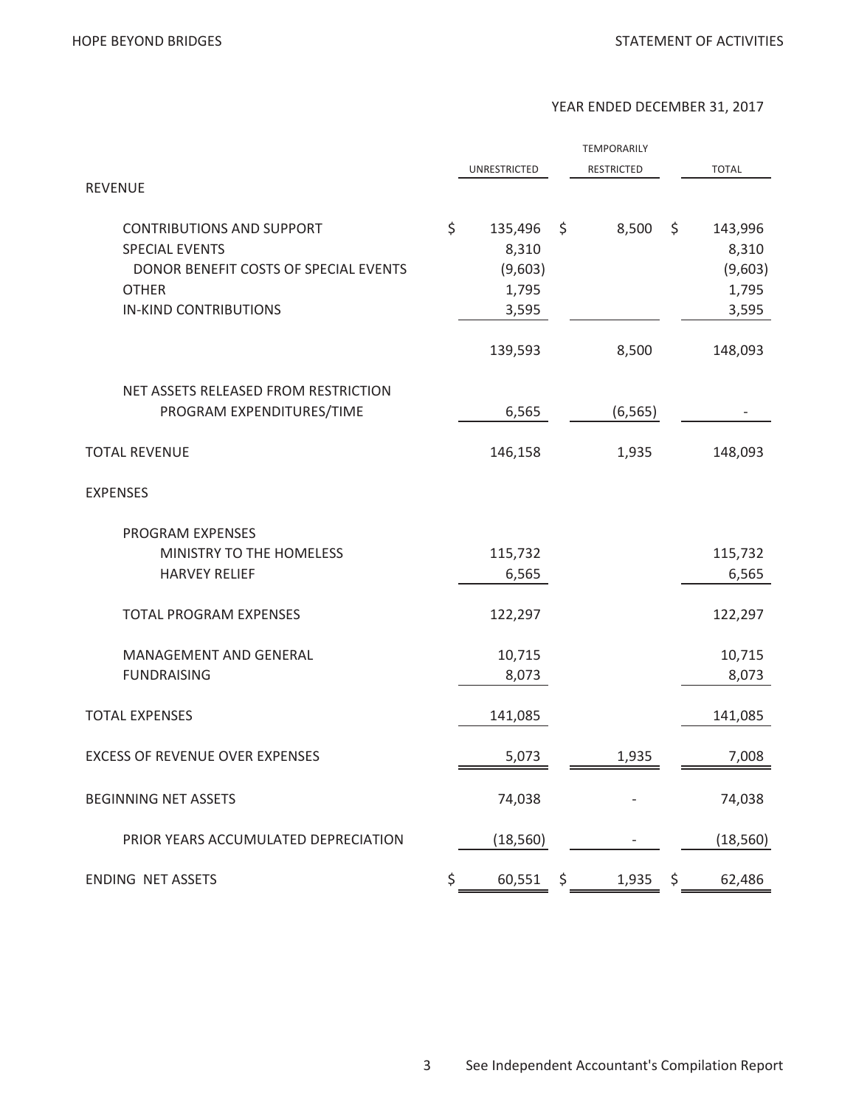#### YEAR ENDED DECEMBER 31, 2017

|                                                                                                                                                    |                                                     | <b>TEMPORARILY</b> |                                                     |
|----------------------------------------------------------------------------------------------------------------------------------------------------|-----------------------------------------------------|--------------------|-----------------------------------------------------|
| <b>REVENUE</b>                                                                                                                                     | UNRESTRICTED                                        | <b>RESTRICTED</b>  | <b>TOTAL</b>                                        |
| <b>CONTRIBUTIONS AND SUPPORT</b><br><b>SPECIAL EVENTS</b><br>DONOR BENEFIT COSTS OF SPECIAL EVENTS<br><b>OTHER</b><br><b>IN-KIND CONTRIBUTIONS</b> | \$<br>135,496<br>8,310<br>(9,603)<br>1,795<br>3,595 | \$<br>8,500        | \$<br>143,996<br>8,310<br>(9,603)<br>1,795<br>3,595 |
|                                                                                                                                                    | 139,593                                             | 8,500              | 148,093                                             |
| NET ASSETS RELEASED FROM RESTRICTION<br>PROGRAM EXPENDITURES/TIME                                                                                  | 6,565                                               | (6, 565)           |                                                     |
| <b>TOTAL REVENUE</b>                                                                                                                               | 146,158                                             | 1,935              | 148,093                                             |
| <b>EXPENSES</b>                                                                                                                                    |                                                     |                    |                                                     |
| PROGRAM EXPENSES<br>MINISTRY TO THE HOMELESS<br><b>HARVEY RELIEF</b>                                                                               | 115,732<br>6,565                                    |                    | 115,732<br>6,565                                    |
| <b>TOTAL PROGRAM EXPENSES</b>                                                                                                                      | 122,297                                             |                    | 122,297                                             |
| MANAGEMENT AND GENERAL<br><b>FUNDRAISING</b>                                                                                                       | 10,715<br>8,073                                     |                    | 10,715<br>8,073                                     |
| <b>TOTAL EXPENSES</b>                                                                                                                              | 141,085                                             |                    | 141,085                                             |
| <b>EXCESS OF REVENUE OVER EXPENSES</b>                                                                                                             | 5,073                                               | 1,935              | 7,008                                               |
| <b>BEGINNING NET ASSETS</b>                                                                                                                        | 74,038                                              |                    | 74,038                                              |
| PRIOR YEARS ACCUMULATED DEPRECIATION                                                                                                               | (18, 560)                                           |                    | (18, 560)                                           |
| <b>ENDING NET ASSETS</b>                                                                                                                           | \$<br>60,551                                        | \$<br>1,935        | \$<br>62,486                                        |